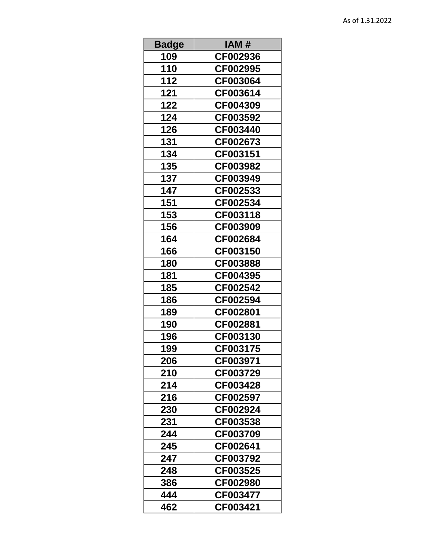| <b>Badge</b> | IAM #    |
|--------------|----------|
| 109          | CF002936 |
| 110          | CF002995 |
| 112          | CF003064 |
| 121          | CF003614 |
| 122          | CF004309 |
| 124          | CF003592 |
| 126          | CF003440 |
| 131          | CF002673 |
| 134          | CF003151 |
| 135          | CF003982 |
| 137          | CF003949 |
| 147          | CF002533 |
| 151          | CF002534 |
| 153          | CF003118 |
| 156          | CF003909 |
| 164          | CF002684 |
| 166          | CF003150 |
| 180          | CF003888 |
| 181          | CF004395 |
| 185          | CF002542 |
| 186          | CF002594 |
| 189          | CF002801 |
| 190          | CF002881 |
| 196          | CF003130 |
| 199          | CF003175 |
| 206          | CF003971 |
| 210          | CF003729 |
| 214          | CF003428 |
| 216          | CF002597 |
| 230          | CF002924 |
| 231          | CF003538 |
| 244          | CF003709 |
| 245          | CF002641 |
| 247          | CF003792 |
| 248          | CF003525 |
| 386          | CF002980 |
| 444          | CF003477 |
| 462          | CF003421 |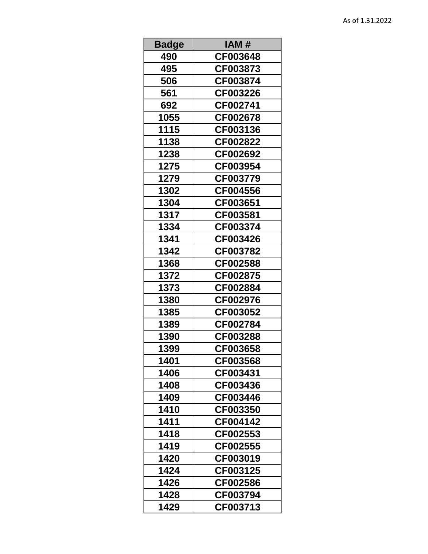| <b>Badge</b> | IAM #    |
|--------------|----------|
| 490          | CF003648 |
| 495          | CF003873 |
| 506          | CF003874 |
| 561          | CF003226 |
| 692          | CF002741 |
| 1055         | CF002678 |
| 1115         | CF003136 |
| 1138         | CF002822 |
| 1238         | CF002692 |
| 1275         | CF003954 |
| 1279         | CF003779 |
| 1302         | CF004556 |
| 1304         | CF003651 |
| 1317         | CF003581 |
| 1334         | CF003374 |
| 1341         | CF003426 |
| 1342         | CF003782 |
| 1368         | CF002588 |
| 1372         | CF002875 |
| 1373         | CF002884 |
| 1380         | CF002976 |
| 1385         | CF003052 |
| 1389         | CF002784 |
| 1390         | CF003288 |
| 1399         | CF003658 |
| 1401         | CF003568 |
| 1406         | CF003431 |
| 1408         | CF003436 |
| 1409         | CF003446 |
| 1410         | CF003350 |
| 1411         | CF004142 |
| 1418         | CF002553 |
| 1419         | CF002555 |
| 1420         | CF003019 |
| 1424         | CF003125 |
| 1426         | CF002586 |
| 1428         | CF003794 |
| 1429         | CF003713 |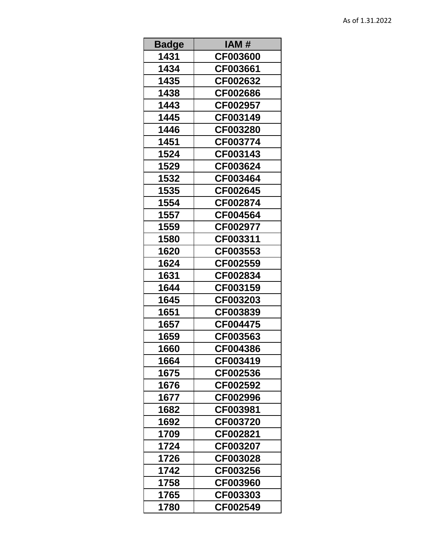| <b>Badge</b> | IAM #    |
|--------------|----------|
| 1431         | CF003600 |
| 1434         | CF003661 |
| 1435         | CF002632 |
| 1438         | CF002686 |
| 1443         | CF002957 |
| 1445         | CF003149 |
| 1446         | CF003280 |
| 1451         | CF003774 |
| 1524         | CF003143 |
| 1529         | CF003624 |
| 1532         | CF003464 |
| 1535         | CF002645 |
| 1554         | CF002874 |
| 1557         | CF004564 |
| 1559         | CF002977 |
| 1580         | CF003311 |
| 1620         | CF003553 |
| 1624         | CF002559 |
| 1631         | CF002834 |
| 1644         | CF003159 |
| 1645         | CF003203 |
| 1651         | CF003839 |
| 1657         | CF004475 |
| 1659         | CF003563 |
| 1660         | CF004386 |
| 1664         | CF003419 |
| 1675         | CF002536 |
| 1676         | CF002592 |
| 1677         | CF002996 |
| 1682         | CF003981 |
| 1692         | CF003720 |
| 1709         | CF002821 |
| 1724         | CF003207 |
| 1726         | CF003028 |
| 1742         | CF003256 |
| 1758         | CF003960 |
| 1765         | CF003303 |
| 1780         | CF002549 |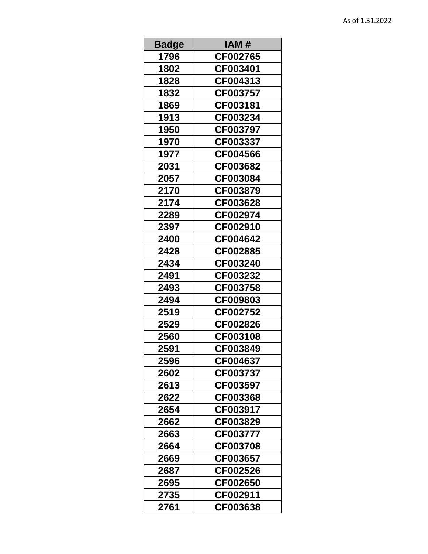| <b>Badge</b> | IAM #    |
|--------------|----------|
| 1796         | CF002765 |
| 1802         | CF003401 |
| 1828         | CF004313 |
| 1832         | CF003757 |
| 1869         | CF003181 |
| 1913         | CF003234 |
| 1950         | CF003797 |
| 1970         | CF003337 |
| 1977         | CF004566 |
| 2031         | CF003682 |
| 2057         | CF003084 |
| 2170         | CF003879 |
| 2174         | CF003628 |
| 2289         | CF002974 |
| 2397         | CF002910 |
| 2400         | CF004642 |
| 2428         | CF002885 |
| 2434         | CF003240 |
| 2491         | CF003232 |
| 2493         | CF003758 |
| 2494         | CF009803 |
| 2519         | CF002752 |
| 2529         | CF002826 |
| 2560         | CF003108 |
| 2591         | CF003849 |
| 2596         | CF004637 |
| 2602         | CF003737 |
| 2613         | CF003597 |
| 2622         | CF003368 |
| 2654         | CF003917 |
| 2662         | CF003829 |
| 2663         | CF003777 |
| 2664         | CF003708 |
| 2669         | CF003657 |
| 2687         | CF002526 |
| 2695         | CF002650 |
| 2735         | CF002911 |
| 2761         | CF003638 |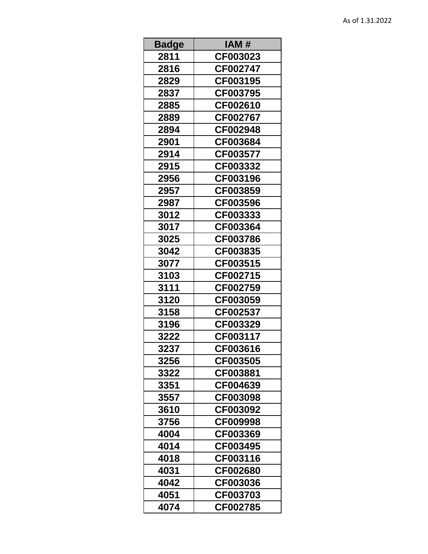| <b>Badge</b> | IAM #    |
|--------------|----------|
| 2811         | CF003023 |
| 2816         | CF002747 |
| 2829         | CF003195 |
| 2837         | CF003795 |
| 2885         | CF002610 |
| 2889         | CF002767 |
| 2894         | CF002948 |
| 2901         | CF003684 |
| 2914         | CF003577 |
| 2915         | CF003332 |
| 2956         | CF003196 |
| 2957         | CF003859 |
| 2987         | CF003596 |
| 3012         | CF003333 |
| 3017         | CF003364 |
| 3025         | CF003786 |
| 3042         | CF003835 |
| 3077         | CF003515 |
| 3103         | CF002715 |
| 3111         | CF002759 |
| 3120         | CF003059 |
| 3158         | CF002537 |
| 3196         | CF003329 |
| 3222         | CF003117 |
| 3237         | CF003616 |
| 3256         | CF003505 |
| 3322         | CF003881 |
| 3351         | CF004639 |
| 3557         | CF003098 |
| 3610         | CF003092 |
| 3756         | CF009998 |
| 4004         | CF003369 |
| 4014         | CF003495 |
| 4018         | CF003116 |
| 4031         | CF002680 |
| 4042         | CF003036 |
| 4051         | CF003703 |
| 4074         | CF002785 |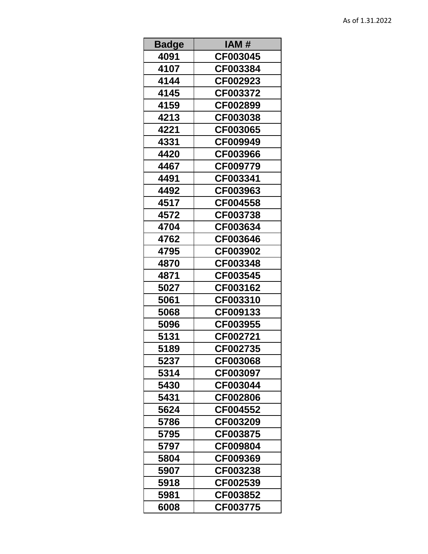| <b>Badge</b> | IAM #    |
|--------------|----------|
| 4091         | CF003045 |
| 4107         | CF003384 |
| 4144         | CF002923 |
| 4145         | CF003372 |
| 4159         | CF002899 |
| 4213         | CF003038 |
| 4221         | CF003065 |
| 4331         | CF009949 |
| 4420         | CF003966 |
| 4467         | CF009779 |
| 4491         | CF003341 |
| 4492         | CF003963 |
| 4517         | CF004558 |
| 4572         | CF003738 |
| 4704         | CF003634 |
| 4762         | CF003646 |
| 4795         | CF003902 |
| 4870         | CF003348 |
| 4871         | CF003545 |
| 5027         | CF003162 |
| 5061         | CF003310 |
| 5068         | CF009133 |
| 5096         | CF003955 |
| 5131         | CF002721 |
| 5189         | CF002735 |
| 5237         | CF003068 |
| 5314         | CF003097 |
| 5430         | CF003044 |
| 5431         | CF002806 |
| 5624         | CF004552 |
| 5786         | CF003209 |
| 5795         | CF003875 |
| 5797         | CF009804 |
| 5804         | CF009369 |
| 5907         | CF003238 |
| 5918         | CF002539 |
| 5981         | CF003852 |
| 6008         | CF003775 |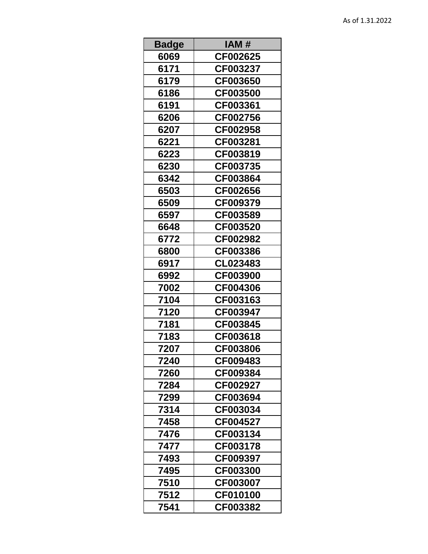| <b>Badge</b> | IAM #    |
|--------------|----------|
| 6069         | CF002625 |
| 6171         | CF003237 |
| 6179         | CF003650 |
| 6186         | CF003500 |
| 6191         | CF003361 |
| 6206         | CF002756 |
| 6207         | CF002958 |
| 6221         | CF003281 |
| 6223         | CF003819 |
| 6230         | CF003735 |
| 6342         | CF003864 |
| 6503         | CF002656 |
| 6509         | CF009379 |
| 6597         | CF003589 |
| 6648         | CF003520 |
| 6772         | CF002982 |
| 6800         | CF003386 |
| 6917         | CL023483 |
| 6992         | CF003900 |
| 7002         | CF004306 |
| 7104         | CF003163 |
| 7120         | CF003947 |
| 7181         | CF003845 |
| 7183         | CF003618 |
| 7207         | CF003806 |
| 7240         | CF009483 |
| 7260         | CF009384 |
| 7284         | CF002927 |
| 7299         | CF003694 |
| 7314         | CF003034 |
| 7458         | CF004527 |
| 7476         | CF003134 |
| 7477         | CF003178 |
| 7493         | CF009397 |
| 7495         | CF003300 |
| 7510         | CF003007 |
| 7512         | CF010100 |
| 7541         | CF003382 |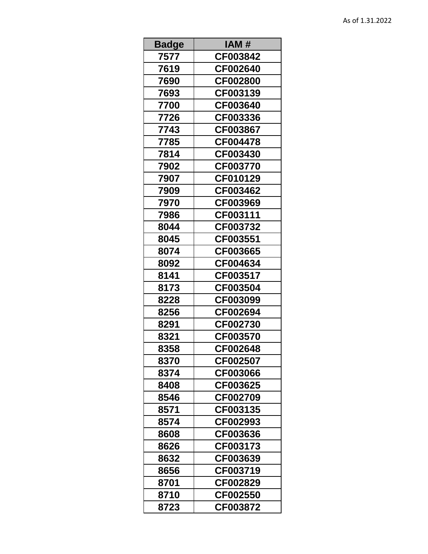| <b>Badge</b> | IAM #    |
|--------------|----------|
| 7577         | CF003842 |
| 7619         | CF002640 |
| 7690         | CF002800 |
| 7693         | CF003139 |
| 7700         | CF003640 |
| 7726         | CF003336 |
| 7743         | CF003867 |
| 7785         | CF004478 |
| 7814         | CF003430 |
| 7902         | CF003770 |
| 7907         | CF010129 |
| 7909         | CF003462 |
| 7970         | CF003969 |
| 7986         | CF003111 |
| 8044         | CF003732 |
| 8045         | CF003551 |
| 8074         | CF003665 |
| 8092         | CF004634 |
| 8141         | CF003517 |
| 8173         | CF003504 |
| 8228         | CF003099 |
| 8256         | CF002694 |
| 8291         | CF002730 |
| 8321         | CF003570 |
| 8358         | CF002648 |
| 8370         | CF002507 |
| 8374         | CF003066 |
| 8408         | CF003625 |
| 8546         | CF002709 |
| 8571         | CF003135 |
| 8574         | CF002993 |
| 8608         | CF003636 |
| 8626         | CF003173 |
| 8632         | CF003639 |
| 8656         | CF003719 |
| 8701         | CF002829 |
| 8710         | CF002550 |
| 8723         | CF003872 |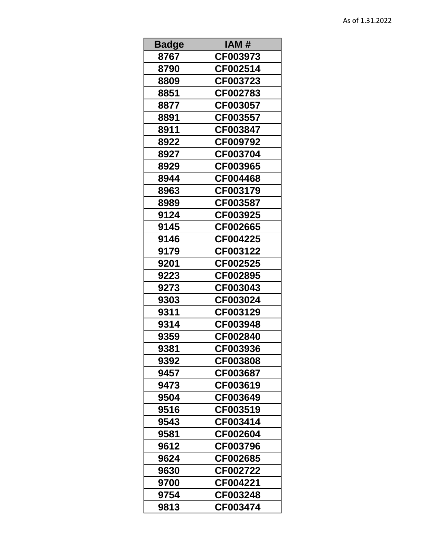| <b>Badge</b> | IAM #    |
|--------------|----------|
| 8767         | CF003973 |
| 8790         | CF002514 |
| 8809         | CF003723 |
| 8851         | CF002783 |
| 8877         | CF003057 |
| 8891         | CF003557 |
| 8911         | CF003847 |
| 8922         | CF009792 |
| 8927         | CF003704 |
| 8929         | CF003965 |
| 8944         | CF004468 |
| 8963         | CF003179 |
| 8989         | CF003587 |
| 9124         | CF003925 |
| 9145         | CF002665 |
| 9146         | CF004225 |
| 9179         | CF003122 |
| 9201         | CF002525 |
| 9223         | CF002895 |
| 9273         | CF003043 |
| 9303         | CF003024 |
| 9311         | CF003129 |
| 9314         | CF003948 |
| 9359         | CF002840 |
| 9381         | CF003936 |
| 9392         | CF003808 |
| 9457         | CF003687 |
| 9473         | CF003619 |
| 9504         | CF003649 |
| 9516         | CF003519 |
| 9543         | CF003414 |
| 9581         | CF002604 |
| 9612         | CF003796 |
| 9624         | CF002685 |
| 9630         | CF002722 |
| 9700         | CF004221 |
| 9754         | CF003248 |
| 9813         | CF003474 |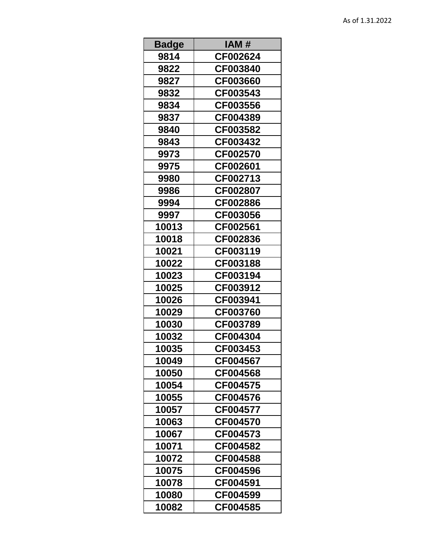| <b>Badge</b> | IAM #    |
|--------------|----------|
| 9814         | CF002624 |
| 9822         | CF003840 |
| 9827         | CF003660 |
| 9832         | CF003543 |
| 9834         | CF003556 |
| 9837         | CF004389 |
| 9840         | CF003582 |
| 9843         | CF003432 |
| 9973         | CF002570 |
| 9975         | CF002601 |
| 9980         | CF002713 |
| 9986         | CF002807 |
| 9994         | CF002886 |
| 9997         | CF003056 |
| 10013        | CF002561 |
| 10018        | CF002836 |
| 10021        | CF003119 |
| 10022        | CF003188 |
| 10023        | CF003194 |
| 10025        | CF003912 |
| 10026        | CF003941 |
| 10029        | CF003760 |
| 10030        | CF003789 |
| 10032        | CF004304 |
| 10035        | CF003453 |
| 10049        | CF004567 |
| 10050        | CF004568 |
| 10054        | CF004575 |
| 10055        | CF004576 |
| 10057        | CF004577 |
| 10063        | CF004570 |
| 10067        | CF004573 |
| 10071        | CF004582 |
| 10072        | CF004588 |
| 10075        | CF004596 |
| 10078        | CF004591 |
| 10080        | CF004599 |
| 10082        | CF004585 |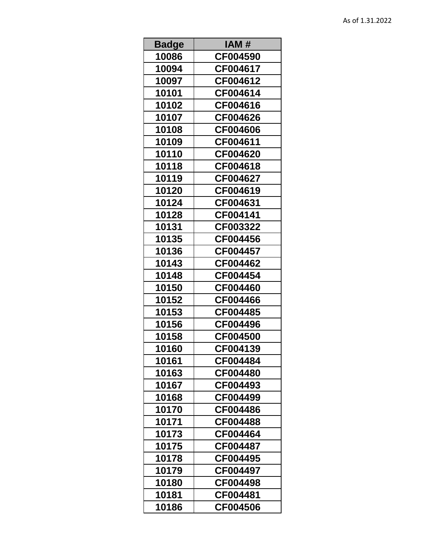| <b>Badge</b> | IAM #    |
|--------------|----------|
| 10086        | CF004590 |
| 10094        | CF004617 |
| 10097        | CF004612 |
| 10101        | CF004614 |
| 10102        | CF004616 |
| 10107        | CF004626 |
| 10108        | CF004606 |
| 10109        | CF004611 |
| 10110        | CF004620 |
| 10118        | CF004618 |
| 10119        | CF004627 |
| 10120        | CF004619 |
| 10124        | CF004631 |
| 10128        | CF004141 |
| 10131        | CF003322 |
| 10135        | CF004456 |
| 10136        | CF004457 |
| 10143        | CF004462 |
| 10148        | CF004454 |
| 10150        | CF004460 |
| 10152        | CF004466 |
| 10153        | CF004485 |
| 10156        | CF004496 |
| 10158        | CF004500 |
| 10160        | CF004139 |
| 10161        | CF004484 |
| 10163        | CF004480 |
| 10167        | CF004493 |
| 10168        | CF004499 |
| 10170        | CF004486 |
| 10171        | CF004488 |
| 10173        | CF004464 |
| 10175        | CF004487 |
| 10178        | CF004495 |
| 10179        | CF004497 |
| 10180        | CF004498 |
| 10181        | CF004481 |
| 10186        | CF004506 |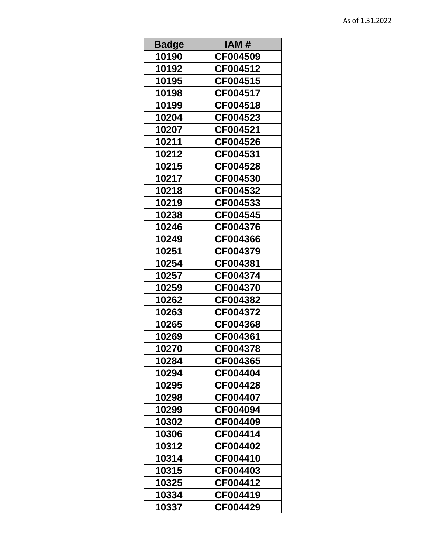| <b>Badge</b> | IAM #           |
|--------------|-----------------|
| 10190        | CF004509        |
| 10192        | CF004512        |
| 10195        | CF004515        |
| 10198        | CF004517        |
| 10199        | CF004518        |
| 10204        | CF004523        |
| 10207        | CF004521        |
| 10211        | CF004526        |
| 10212        | CF004531        |
| 10215        | CF004528        |
| 10217        | CF004530        |
| 10218        | CF004532        |
| 10219        | CF004533        |
| 10238        | CF004545        |
| 10246        | CF004376        |
| 10249        | CF004366        |
| 10251        | CF004379        |
| 10254        | CF004381        |
| 10257        | CF004374        |
| 10259        | CF004370        |
| 10262        | CF004382        |
| 10263        | CF004372        |
| 10265        | CF004368        |
| 10269        | CF004361        |
| 10270        | CF004378        |
| 10284        | CF004365        |
| 10294        | <b>CF004404</b> |
| 10295        | CF004428        |
| 10298        | <b>CF004407</b> |
| 10299        | CF004094        |
| 10302        | CF004409        |
| 10306        | CF004414        |
| 10312        | CF004402        |
| 10314        | CF004410        |
| 10315        | CF004403        |
| 10325        | CF004412        |
| 10334        | CF004419        |
| 10337        | CF004429        |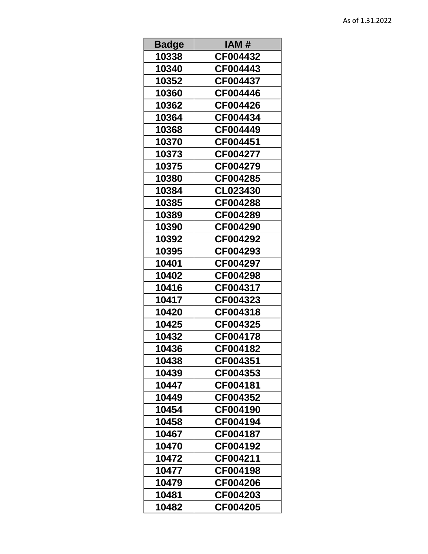| <b>Badge</b> | IAM #    |
|--------------|----------|
| 10338        | CF004432 |
| 10340        | CF004443 |
| 10352        | CF004437 |
| 10360        | CF004446 |
| 10362        | CF004426 |
| 10364        | CF004434 |
| 10368        | CF004449 |
| 10370        | CF004451 |
| 10373        | CF004277 |
| 10375        | CF004279 |
| 10380        | CF004285 |
| 10384        | CL023430 |
| 10385        | CF004288 |
| 10389        | CF004289 |
| 10390        | CF004290 |
| 10392        | CF004292 |
| 10395        | CF004293 |
| 10401        | CF004297 |
| 10402        | CF004298 |
| 10416        | CF004317 |
| 10417        | CF004323 |
| 10420        | CF004318 |
| 10425        | CF004325 |
| 10432        | CF004178 |
| 10436        | CF004182 |
| 10438        | CF004351 |
| 10439        | CF004353 |
| 10447        | CF004181 |
| 10449        | CF004352 |
| 10454        | CF004190 |
| 10458        | CF004194 |
| 10467        | CF004187 |
| 10470        | CF004192 |
| 10472        | CF004211 |
| 10477        | CF004198 |
| 10479        | CF004206 |
| 10481        | CF004203 |
| 10482        | CF004205 |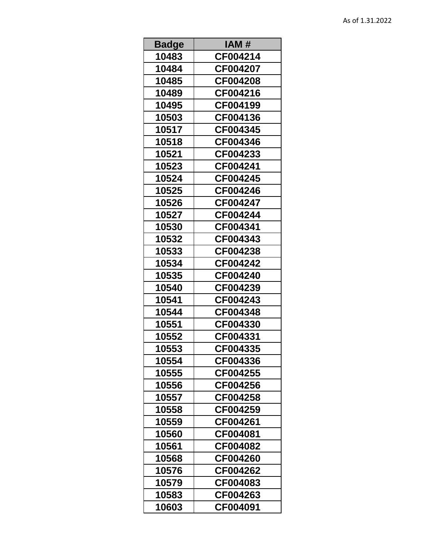| <b>Badge</b> | IAM #    |
|--------------|----------|
| 10483        | CF004214 |
| 10484        | CF004207 |
| 10485        | CF004208 |
| 10489        | CF004216 |
| 10495        | CF004199 |
| 10503        | CF004136 |
| 10517        | CF004345 |
| 10518        | CF004346 |
| 10521        | CF004233 |
| 10523        | CF004241 |
| 10524        | CF004245 |
| 10525        | CF004246 |
| 10526        | CF004247 |
| 10527        | CF004244 |
| 10530        | CF004341 |
| 10532        | CF004343 |
| 10533        | CF004238 |
| 10534        | CF004242 |
| 10535        | CF004240 |
| 10540        | CF004239 |
| 10541        | CF004243 |
| 10544        | CF004348 |
| 10551        | CF004330 |
| 10552        | CF004331 |
| 10553        | CF004335 |
| 10554        | CF004336 |
| 10555        | CF004255 |
| 10556        | CF004256 |
| 10557        | CF004258 |
| 10558        | CF004259 |
| 10559        | CF004261 |
| 10560        | CF004081 |
| 10561        | CF004082 |
| 10568        | CF004260 |
| 10576        | CF004262 |
| 10579        | CF004083 |
| 10583        | CF004263 |
| 10603        | CF004091 |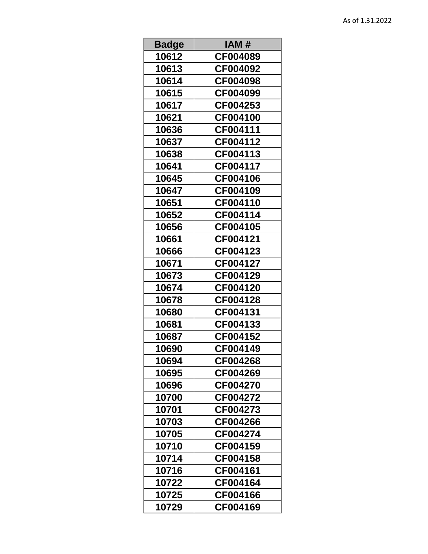| <b>Badge</b> | IAM #           |
|--------------|-----------------|
| 10612        | CF004089        |
| 10613        | CF004092        |
| 10614        | CF004098        |
| 10615        | CF004099        |
| 10617        | CF004253        |
| 10621        | CF004100        |
| 10636        | CF004111        |
| 10637        | CF004112        |
| 10638        | CF004113        |
| 10641        | CF004117        |
| 10645        | CF004106        |
| 10647        | CF004109        |
| 10651        | CF004110        |
| 10652        | CF004114        |
| 10656        | CF004105        |
| 10661        | CF004121        |
| 10666        | CF004123        |
| 10671        | CF004127        |
| 10673        | CF004129        |
| 10674        | CF004120        |
| 10678        | CF004128        |
| 10680        | CF004131        |
| 10681        | CF004133        |
| 10687        | CF004152        |
| 10690        | CF004149        |
| 10694        | CF004268        |
| 10695        | CF004269        |
| 10696        | <b>CF004270</b> |
| 10700        | CF004272        |
| 10701        | CF004273        |
| 10703        | CF004266        |
| 10705        | CF004274        |
| 10710        | CF004159        |
| 10714        | CF004158        |
| 10716        | CF004161        |
| 10722        | CF004164        |
| 10725        | CF004166        |
| 10729        | CF004169        |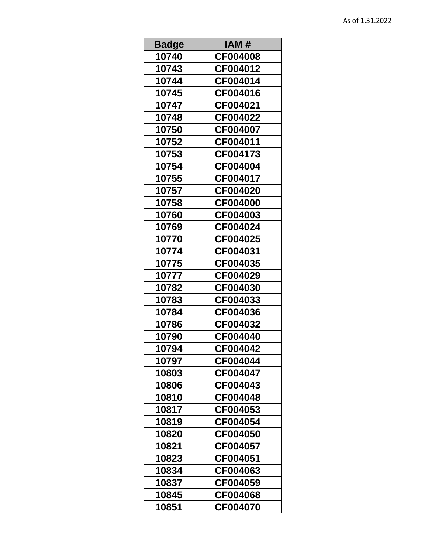| <b>Badge</b> | IAM #           |
|--------------|-----------------|
| 10740        | CF004008        |
| 10743        | CF004012        |
| 10744        | CF004014        |
| 10745        | CF004016        |
| 10747        | CF004021        |
| 10748        | CF004022        |
| 10750        | CF004007        |
| 10752        | CF004011        |
| 10753        | CF004173        |
| 10754        | CF004004        |
| 10755        | CF004017        |
| 10757        | CF004020        |
| 10758        | <b>CF004000</b> |
| 10760        | CF004003        |
| 10769        | CF004024        |
| 10770        | CF004025        |
| 10774        | CF004031        |
| 10775        | CF004035        |
| 10777        | CF004029        |
| 10782        | CF004030        |
| 10783        | CF004033        |
| 10784        | CF004036        |
| 10786        | CF004032        |
| 10790        | CF004040        |
| 10794        | CF004042        |
| 10797        | CF004044        |
| 10803        | <b>CF004047</b> |
| 10806        | CF004043        |
| 10810        | CF004048        |
| 10817        | CF004053        |
| 10819        | CF004054        |
| 10820        | CF004050        |
| 10821        | CF004057        |
| 10823        | CF004051        |
| 10834        | CF004063        |
| 10837        | CF004059        |
| 10845        | CF004068        |
| 10851        | CF004070        |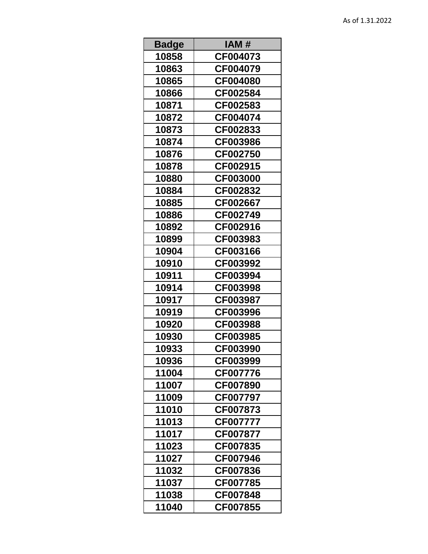| <b>Badge</b> | IAM #           |
|--------------|-----------------|
| 10858        | CF004073        |
| 10863        | CF004079        |
| 10865        | CF004080        |
| 10866        | CF002584        |
| 10871        | CF002583        |
| 10872        | CF004074        |
| 10873        | CF002833        |
| 10874        | CF003986        |
| 10876        | CF002750        |
| 10878        | CF002915        |
| 10880        | <b>CF003000</b> |
| 10884        | CF002832        |
| 10885        | CF002667        |
| 10886        | CF002749        |
| 10892        | CF002916        |
| 10899        | CF003983        |
| 10904        | CF003166        |
| 10910        | CF003992        |
| 10911        | CF003994        |
| 10914        | CF003998        |
| 10917        | CF003987        |
| 10919        | CF003996        |
| 10920        | CF003988        |
| 10930        | CF003985        |
| 10933        | CF003990        |
| 10936        | CF003999        |
| 11004        | CF007776        |
| 11007        | CF007890        |
| 11009        | CF007797        |
| 11010        | CF007873        |
| 11013        | <b>CF007777</b> |
| 11017        | CF007877        |
| 11023        | CF007835        |
| 11027        | CF007946        |
| 11032        | CF007836        |
| 11037        | CF007785        |
| 11038        | CF007848        |
| 11040        | CF007855        |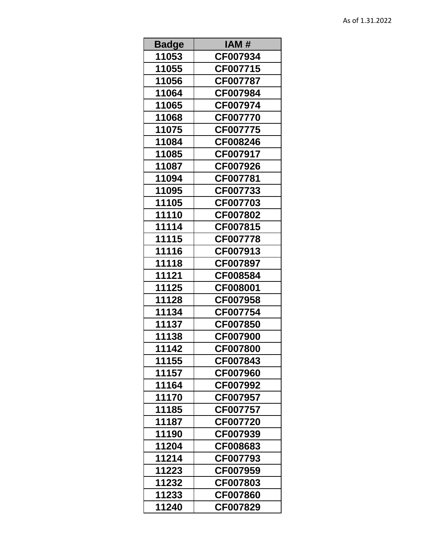| <b>Badge</b> | IAM #           |
|--------------|-----------------|
| 11053        | CF007934        |
| 11055        | CF007715        |
| 11056        | CF007787        |
| 11064        | CF007984        |
| 11065        | CF007974        |
| 11068        | CF007770        |
| 11075        | CF007775        |
| 11084        | CF008246        |
| 11085        | CF007917        |
| 11087        | CF007926        |
| 11094        | CF007781        |
| 11095        | CF007733        |
| 11105        | CF007703        |
| 11110        | CF007802        |
| 11114        | CF007815        |
| 11115        | CF007778        |
| 11116        | CF007913        |
| 11118        | CF007897        |
| 11121        | CF008584        |
| 11125        | CF008001        |
| 11128        | CF007958        |
| 11134        | CF007754        |
| 11137        | CF007850        |
| 11138        | CF007900        |
| 11142        | CF007800        |
| 11155        | CF007843        |
| 11157        | CF007960        |
| 11164        | CF007992        |
| 11170        | CF007957        |
| 11185        | CF007757        |
| 11187        | <b>CF007720</b> |
| 11190        | CF007939        |
| 11204        | CF008683        |
| 11214        | CF007793        |
| 11223        | CF007959        |
| 11232        | CF007803        |
| 11233        | CF007860        |
| 11240        | CF007829        |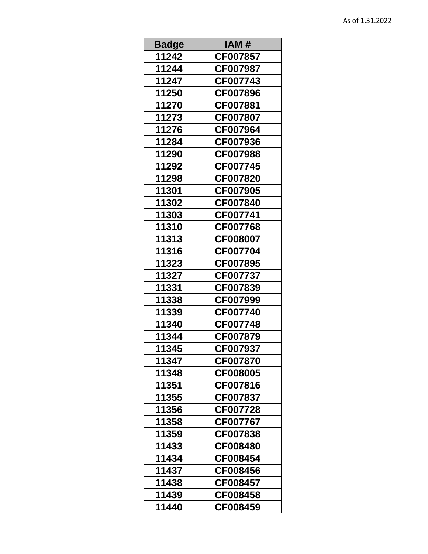| <b>Badge</b> | IAM #    |
|--------------|----------|
| 11242        | CF007857 |
| 11244        | CF007987 |
| 11247        | CF007743 |
| 11250        | CF007896 |
| 11270        | CF007881 |
| 11273        | CF007807 |
| 11276        | CF007964 |
| 11284        | CF007936 |
| 11290        | CF007988 |
| 11292        | CF007745 |
| 11298        | CF007820 |
| 11301        | CF007905 |
| 11302        | CF007840 |
| 11303        | CF007741 |
| 11310        | CF007768 |
| 11313        | CF008007 |
| 11316        | CF007704 |
| 11323        | CF007895 |
| 11327        | CF007737 |
| 11331        | CF007839 |
| 11338        | CF007999 |
| 11339        | CF007740 |
| 11340        | CF007748 |
| 11344        | CF007879 |
| 11345        | CF007937 |
| 11347        | CF007870 |
| 11348        | CF008005 |
| 11351        | CF007816 |
| 11355        | CF007837 |
| 11356        | CF007728 |
| 11358        | CF007767 |
| 11359        | CF007838 |
| 11433        | CF008480 |
| 11434        | CF008454 |
| 11437        | CF008456 |
| 11438        | CF008457 |
| 11439        | CF008458 |
| 11440        | CF008459 |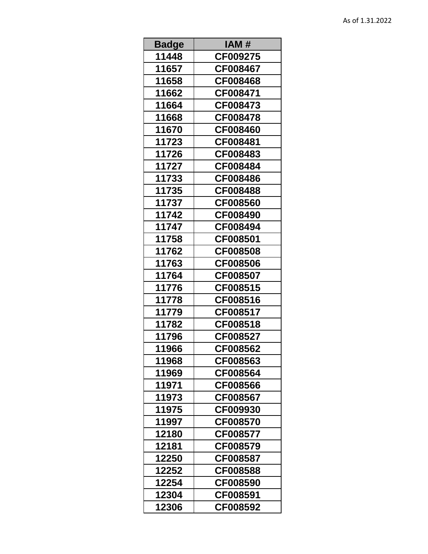| <b>Badge</b> | IAM #    |
|--------------|----------|
| 11448        | CF009275 |
| 11657        | CF008467 |
| 11658        | CF008468 |
| 11662        | CF008471 |
| 11664        | CF008473 |
| 11668        | CF008478 |
| 11670        | CF008460 |
| 11723        | CF008481 |
| 11726        | CF008483 |
| 11727        | CF008484 |
| 11733        | CF008486 |
| 11735        | CF008488 |
| 11737        | CF008560 |
| 11742        | CF008490 |
| 11747        | CF008494 |
| 11758        | CF008501 |
| 11762        | CF008508 |
| 11763        | CF008506 |
| 11764        | CF008507 |
| 11776        | CF008515 |
| 11778        | CF008516 |
| 11779        | CF008517 |
| 11782        | CF008518 |
| 11796        | CF008527 |
| 11966        | CF008562 |
| 11968        | CF008563 |
| 11969        | CF008564 |
| 11971        | CF008566 |
| 11973        | CF008567 |
| 11975        | CF009930 |
| 11997        | CF008570 |
| 12180        | CF008577 |
| 12181        | CF008579 |
| 12250        | CF008587 |
| 12252        | CF008588 |
| 12254        | CF008590 |
| 12304        | CF008591 |
| 12306        | CF008592 |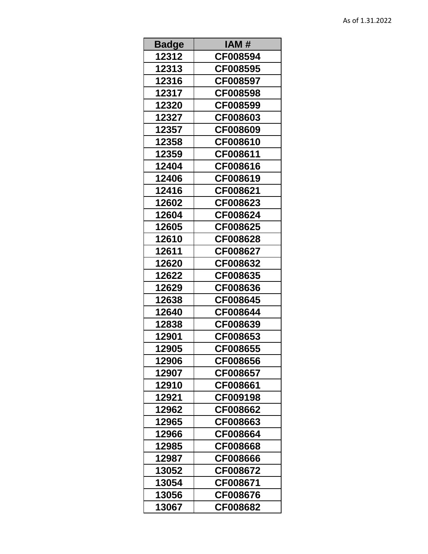| <b>Badge</b> | IAM #    |
|--------------|----------|
| 12312        | CF008594 |
| 12313        | CF008595 |
| 12316        | CF008597 |
| 12317        | CF008598 |
| 12320        | CF008599 |
| 12327        | CF008603 |
| 12357        | CF008609 |
| 12358        | CF008610 |
| 12359        | CF008611 |
| 12404        | CF008616 |
| 12406        | CF008619 |
| 12416        | CF008621 |
| 12602        | CF008623 |
| 12604        | CF008624 |
| 12605        | CF008625 |
| 12610        | CF008628 |
| 12611        | CF008627 |
| 12620        | CF008632 |
| 12622        | CF008635 |
| 12629        | CF008636 |
| 12638        | CF008645 |
| 12640        | CF008644 |
| 12838        | CF008639 |
| 12901        | CF008653 |
| 12905        | CF008655 |
| 12906        | CF008656 |
| 12907        | CF008657 |
| 12910        | CF008661 |
| 12921        | CF009198 |
| 12962        | CF008662 |
| 12965        | CF008663 |
| 12966        | CF008664 |
| 12985        | CF008668 |
| 12987        | CF008666 |
| 13052        | CF008672 |
| 13054        | CF008671 |
| 13056        | CF008676 |
| 13067        | CF008682 |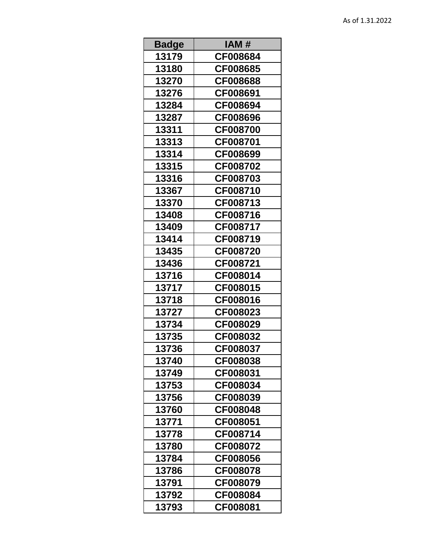| <b>Badge</b> | IAM #    |
|--------------|----------|
| 13179        | CF008684 |
| 13180        | CF008685 |
| 13270        | CF008688 |
| 13276        | CF008691 |
| 13284        | CF008694 |
| 13287        | CF008696 |
| 13311        | CF008700 |
| 13313        | CF008701 |
| 13314        | CF008699 |
| 13315        | CF008702 |
| 13316        | CF008703 |
| 13367        | CF008710 |
| 13370        | CF008713 |
| 13408        | CF008716 |
| 13409        | CF008717 |
| 13414        | CF008719 |
| 13435        | CF008720 |
| 13436        | CF008721 |
| 13716        | CF008014 |
| 13717        | CF008015 |
| 13718        | CF008016 |
| 13727        | CF008023 |
| 13734        | CF008029 |
| 13735        | CF008032 |
| 13736        | CF008037 |
| 13740        | CF008038 |
| 13749        | CF008031 |
| 13753        | CF008034 |
| 13756        | CF008039 |
| 13760        | CF008048 |
| 13771        | CF008051 |
| 13778        | CF008714 |
| 13780        | CF008072 |
| 13784        | CF008056 |
| 13786        | CF008078 |
| 13791        | CF008079 |
| 13792        | CF008084 |
| 13793        | CF008081 |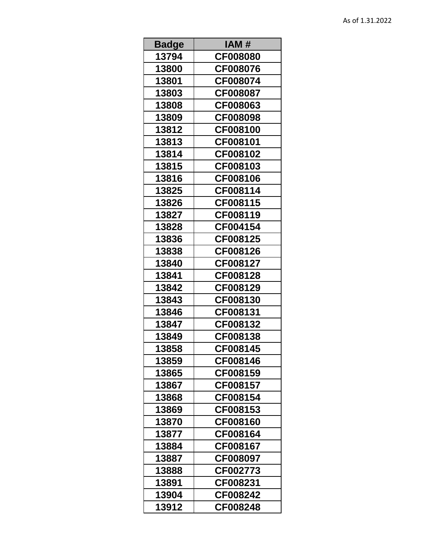| <b>Badge</b> | IAM #           |
|--------------|-----------------|
| 13794        | <b>CF008080</b> |
| 13800        | CF008076        |
| 13801        | CF008074        |
| 13803        | CF008087        |
| 13808        | CF008063        |
| 13809        | CF008098        |
| 13812        | CF008100        |
| 13813        | CF008101        |
| 13814        | CF008102        |
| 13815        | CF008103        |
| 13816        | CF008106        |
| 13825        | CF008114        |
| 13826        | CF008115        |
| 13827        | CF008119        |
| 13828        | CF004154        |
| 13836        | CF008125        |
| 13838        | CF008126        |
| 13840        | CF008127        |
| 13841        | CF008128        |
| 13842        | CF008129        |
| 13843        | CF008130        |
| 13846        | CF008131        |
| 13847        | CF008132        |
| 13849        | CF008138        |
| 13858        | CF008145        |
| 13859        | CF008146        |
| 13865        | CF008159        |
| 13867        | CF008157        |
| 13868        | CF008154        |
| 13869        | CF008153        |
| 13870        | CF008160        |
| 13877        | CF008164        |
| 13884        | CF008167        |
| 13887        | CF008097        |
| 13888        | CF002773        |
| 13891        | CF008231        |
| 13904        | CF008242        |
| 13912        | CF008248        |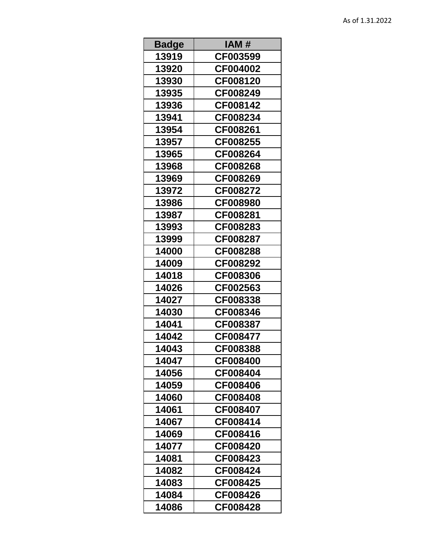| <b>Badge</b> | IAM #    |
|--------------|----------|
| 13919        | CF003599 |
| 13920        | CF004002 |
| 13930        | CF008120 |
| 13935        | CF008249 |
| 13936        | CF008142 |
| 13941        | CF008234 |
| 13954        | CF008261 |
| 13957        | CF008255 |
| 13965        | CF008264 |
| 13968        | CF008268 |
| 13969        | CF008269 |
| 13972        | CF008272 |
| 13986        | CF008980 |
| 13987        | CF008281 |
| 13993        | CF008283 |
| 13999        | CF008287 |
| 14000        | CF008288 |
| 14009        | CF008292 |
| 14018        | CF008306 |
| 14026        | CF002563 |
| 14027        | CF008338 |
| 14030        | CF008346 |
| 14041        | CF008387 |
| 14042        | CF008477 |
| 14043        | CF008388 |
| 14047        | CF008400 |
| 14056        | CF008404 |
| 14059        | CF008406 |
| 14060        | CF008408 |
| 14061        | CF008407 |
| 14067        | CF008414 |
| 14069        | CF008416 |
| 14077        | CF008420 |
| 14081        | CF008423 |
| 14082        | CF008424 |
| 14083        | CF008425 |
| 14084        | CF008426 |
| 14086        | CF008428 |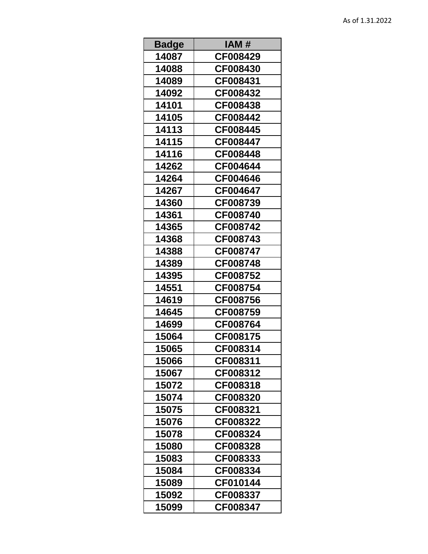| <b>Badge</b> | IAM #           |
|--------------|-----------------|
| 14087        | CF008429        |
| 14088        | <b>CF008430</b> |
| 14089        | CF008431        |
| 14092        | CF008432        |
| 14101        | CF008438        |
| 14105        | CF008442        |
| 14113        | CF008445        |
| 14115        | CF008447        |
| 14116        | CF008448        |
| 14262        | CF004644        |
| 14264        | CF004646        |
| 14267        | CF004647        |
| 14360        | CF008739        |
| 14361        | CF008740        |
| 14365        | CF008742        |
| 14368        | CF008743        |
| 14388        | CF008747        |
| 14389        | CF008748        |
| 14395        | CF008752        |
| 14551        | CF008754        |
| 14619        | CF008756        |
| 14645        | CF008759        |
| 14699        | CF008764        |
| 15064        | CF008175        |
| 15065        | CF008314        |
| 15066        | CF008311        |
| 15067        | CF008312        |
| 15072        | CF008318        |
| 15074        | CF008320        |
| 15075        | CF008321        |
| 15076        | CF008322        |
| 15078        | CF008324        |
| 15080        | CF008328        |
| 15083        | CF008333        |
| 15084        | CF008334        |
| 15089        | CF010144        |
| 15092        | CF008337        |
| 15099        | CF008347        |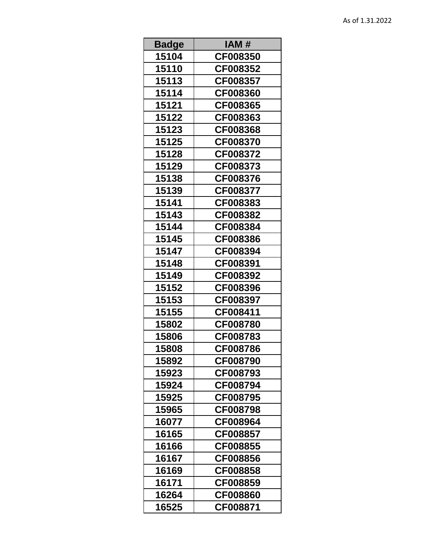| <b>Badge</b> | IAM #    |
|--------------|----------|
| 15104        | CF008350 |
| 15110        | CF008352 |
| 15113        | CF008357 |
| 15114        | CF008360 |
| 15121        | CF008365 |
| 15122        | CF008363 |
| 15123        | CF008368 |
| 15125        | CF008370 |
| 15128        | CF008372 |
| 15129        | CF008373 |
| 15138        | CF008376 |
| 15139        | CF008377 |
| 15141        | CF008383 |
| 15143        | CF008382 |
| 15144        | CF008384 |
| 15145        | CF008386 |
| 15147        | CF008394 |
| 15148        | CF008391 |
| 15149        | CF008392 |
| 15152        | CF008396 |
| 15153        | CF008397 |
| 15155        | CF008411 |
| 15802        | CF008780 |
| 15806        | CF008783 |
| 15808        | CF008786 |
| 15892        | CF008790 |
| 15923        | CF008793 |
| 15924        | CF008794 |
| 15925        | CF008795 |
| 15965        | CF008798 |
| 16077        | CF008964 |
| 16165        | CF008857 |
| 16166        | CF008855 |
| 16167        | CF008856 |
| 16169        | CF008858 |
| 16171        | CF008859 |
| 16264        | CF008860 |
| 16525        | CF008871 |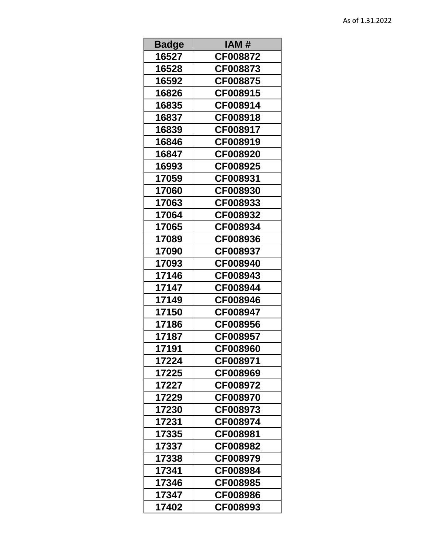| <b>Badge</b> | IAM #    |
|--------------|----------|
| 16527        | CF008872 |
| 16528        | CF008873 |
| 16592        | CF008875 |
| 16826        | CF008915 |
| 16835        | CF008914 |
| 16837        | CF008918 |
| 16839        | CF008917 |
| 16846        | CF008919 |
| 16847        | CF008920 |
| 16993        | CF008925 |
| 17059        | CF008931 |
| 17060        | CF008930 |
| 17063        | CF008933 |
| 17064        | CF008932 |
| 17065        | CF008934 |
| 17089        | CF008936 |
| 17090        | CF008937 |
| 17093        | CF008940 |
| 17146        | CF008943 |
| 17147        | CF008944 |
| 17149        | CF008946 |
| 17150        | CF008947 |
| 17186        | CF008956 |
| 17187        | CF008957 |
| 17191        | CF008960 |
| 17224        | CF008971 |
| 17225        | CF008969 |
| 17227        | CF008972 |
| 17229        | CF008970 |
| 17230        | CF008973 |
| 17231        | CF008974 |
| 17335        | CF008981 |
| 17337        | CF008982 |
| 17338        | CF008979 |
| 17341        | CF008984 |
| 17346        | CF008985 |
| 17347        | CF008986 |
| 17402        | CF008993 |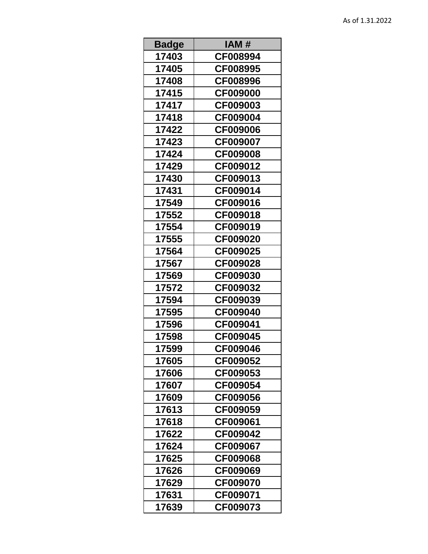| <b>Badge</b> | IAM #           |
|--------------|-----------------|
| 17403        | CF008994        |
| 17405        | CF008995        |
| 17408        | CF008996        |
| 17415        | <b>CF009000</b> |
| 17417        | CF009003        |
| 17418        | CF009004        |
| 17422        | CF009006        |
| 17423        | CF009007        |
| 17424        | <b>CF009008</b> |
| 17429        | CF009012        |
| 17430        | CF009013        |
| 17431        | CF009014        |
| 17549        | CF009016        |
| 17552        | CF009018        |
| 17554        | CF009019        |
| 17555        | CF009020        |
| 17564        | CF009025        |
| 17567        | CF009028        |
| 17569        | CF009030        |
| 17572        | CF009032        |
| 17594        | CF009039        |
| 17595        | CF009040        |
| 17596        | CF009041        |
| 17598        | CF009045        |
| 17599        | CF009046        |
| 17605        | CF009052        |
| 17606        | CF009053        |
| 17607        | CF009054        |
| 17609        | CF009056        |
| 17613        | CF009059        |
| 17618        | CF009061        |
| 17622        | CF009042        |
| 17624        | CF009067        |
| 17625        | CF009068        |
| 17626        | CF009069        |
| 17629        | CF009070        |
| 17631        | CF009071        |
| 17639        | CF009073        |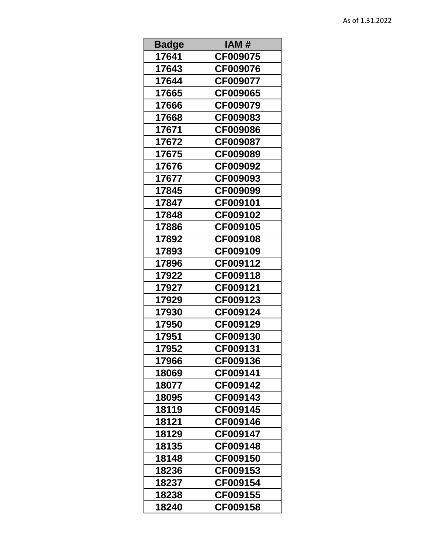| <b>Badge</b> | IAM #    |
|--------------|----------|
| 17641        | CF009075 |
| 17643        | CF009076 |
| 17644        | CF009077 |
| 17665        | CF009065 |
| 17666        | CF009079 |
| 17668        | CF009083 |
| 17671        | CF009086 |
| 17672        | CF009087 |
| 17675        | CF009089 |
| 17676        | CF009092 |
| 17677        | CF009093 |
| 17845        | CF009099 |
| 17847        | CF009101 |
| 17848        | CF009102 |
| 17886        | CF009105 |
| 17892        | CF009108 |
| 17893        | CF009109 |
| 17896        | CF009112 |
| 17922        | CF009118 |
| 17927        | CF009121 |
| 17929        | CF009123 |
| 17930        | CF009124 |
| 17950        | CF009129 |
| 17951        | CF009130 |
| 17952        | CF009131 |
| 17966        | CF009136 |
| 18069        | CF009141 |
| 18077        | CF009142 |
| 18095        | CF009143 |
| 18119        | CF009145 |
| 18121        | CF009146 |
| 18129        | CF009147 |
| 18135        | CF009148 |
| 18148        | CF009150 |
| 18236        | CF009153 |
| 18237        | CF009154 |
| 18238        | CF009155 |
| 18240        | CF009158 |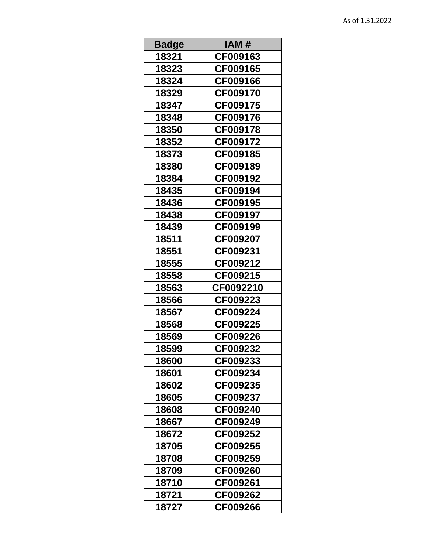| Badge | IAM #     |
|-------|-----------|
| 18321 | CF009163  |
| 18323 | CF009165  |
| 18324 | CF009166  |
| 18329 | CF009170  |
| 18347 | CF009175  |
| 18348 | CF009176  |
| 18350 | CF009178  |
| 18352 | CF009172  |
| 18373 | CF009185  |
| 18380 | CF009189  |
| 18384 | CF009192  |
| 18435 | CF009194  |
| 18436 | CF009195  |
| 18438 | CF009197  |
| 18439 | CF009199  |
| 18511 | CF009207  |
| 18551 | CF009231  |
| 18555 | CF009212  |
| 18558 | CF009215  |
| 18563 | CF0092210 |
| 18566 | CF009223  |
| 18567 | CF009224  |
| 18568 | CF009225  |
| 18569 | CF009226  |
| 18599 | CF009232  |
| 18600 | CF009233  |
| 18601 | CF009234  |
| 18602 | CF009235  |
| 18605 | CF009237  |
| 18608 | CF009240  |
| 18667 | CF009249  |
| 18672 | CF009252  |
| 18705 | CF009255  |
| 18708 | CF009259  |
| 18709 | CF009260  |
| 18710 | CF009261  |
| 18721 | CF009262  |
| 18727 | CF009266  |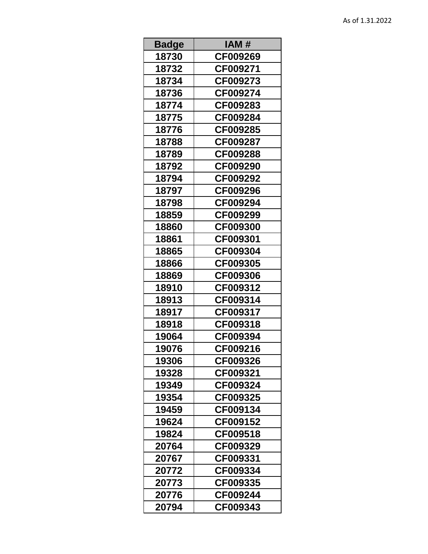| <b>Badge</b> | IAM#     |
|--------------|----------|
| 18730        | CF009269 |
| 18732        | CF009271 |
| 18734        | CF009273 |
| 18736        | CF009274 |
| 18774        | CF009283 |
| 18775        | CF009284 |
| 18776        | CF009285 |
| 18788        | CF009287 |
| 18789        | CF009288 |
| 18792        | CF009290 |
| 18794        | CF009292 |
| 18797        | CF009296 |
| 18798        | CF009294 |
| 18859        | CF009299 |
| 18860        | CF009300 |
| 18861        | CF009301 |
| 18865        | CF009304 |
| 18866        | CF009305 |
| 18869        | CF009306 |
| 18910        | CF009312 |
| 18913        | CF009314 |
| 18917        | CF009317 |
| 18918        | CF009318 |
| 19064        | CF009394 |
| 19076        | CF009216 |
| 19306        | CF009326 |
| 19328        | CF009321 |
| 19349        | CF009324 |
| 19354        | CF009325 |
| 19459        | CF009134 |
| 19624        | CF009152 |
| 19824        | CF009518 |
| 20764        | CF009329 |
| 20767        | CF009331 |
| 20772        | CF009334 |
| 20773        | CF009335 |
| 20776        | CF009244 |
| 20794        | CF009343 |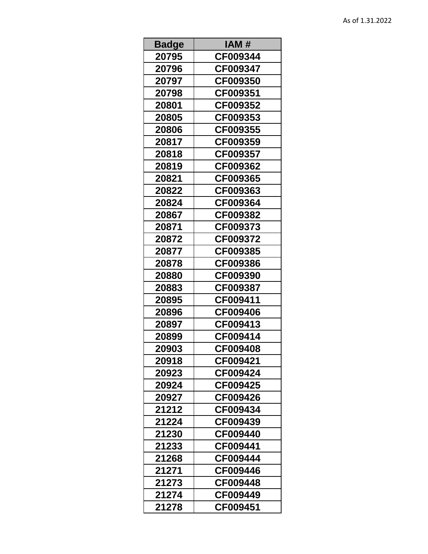| <b>Badge</b> | IAM #           |
|--------------|-----------------|
| 20795        | CF009344        |
| 20796        | CF009347        |
| 20797        | CF009350        |
| 20798        | CF009351        |
| 20801        | CF009352        |
| 20805        | CF009353        |
| 20806        | CF009355        |
| 20817        | CF009359        |
| 20818        | <b>CF009357</b> |
| 20819        | CF009362        |
| 20821        | CF009365        |
| 20822        | CF009363        |
| 20824        | CF009364        |
| 20867        | CF009382        |
| 20871        | CF009373        |
| 20872        | CF009372        |
| 20877        | CF009385        |
| 20878        | CF009386        |
| 20880        | CF009390        |
| 20883        | CF009387        |
| 20895        | CF009411        |
| 20896        | CF009406        |
| 20897        | CF009413        |
| 20899        | CF009414        |
| 20903        | CF009408        |
| 20918        | CF009421        |
| 20923        | CF009424        |
| 20924        | CF009425        |
| 20927        | CF009426        |
| 21212        | CF009434        |
| 21224        | CF009439        |
| 21230        | CF009440        |
| 21233        | CF009441        |
| 21268        | CF009444        |
| 21271        | CF009446        |
| 21273        | CF009448        |
| 21274        | CF009449        |
| 21278        | CF009451        |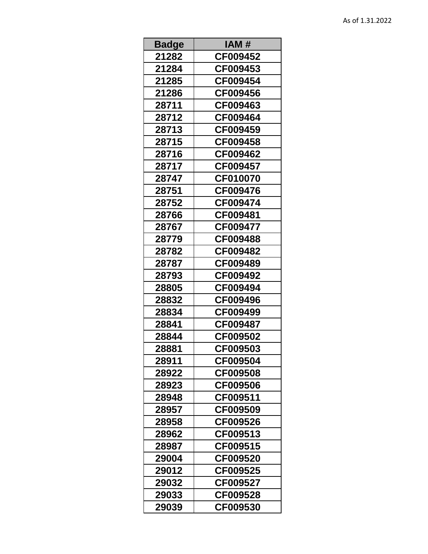| <b>Badge</b> | IAM #    |
|--------------|----------|
| 21282        | CF009452 |
| 21284        | CF009453 |
| 21285        | CF009454 |
| 21286        | CF009456 |
| 28711        | CF009463 |
| 28712        | CF009464 |
| 28713        | CF009459 |
| 28715        | CF009458 |
| 28716        | CF009462 |
| 28717        | CF009457 |
| 28747        | CF010070 |
| 28751        | CF009476 |
| 28752        | CF009474 |
| 28766        | CF009481 |
| 28767        | CF009477 |
| 28779        | CF009488 |
| 28782        | CF009482 |
| 28787        | CF009489 |
| 28793        | CF009492 |
| 28805        | CF009494 |
| 28832        | CF009496 |
| 28834        | CF009499 |
| 28841        | CF009487 |
| 28844        | CF009502 |
| 28881        | CF009503 |
| 28911        | CF009504 |
| 28922        | CF009508 |
| 28923        | CF009506 |
| 28948        | CF009511 |
| 28957        | CF009509 |
| 28958        | CF009526 |
| 28962        | CF009513 |
| 28987        | CF009515 |
| 29004        | CF009520 |
| 29012        | CF009525 |
| 29032        | CF009527 |
| 29033        | CF009528 |
| 29039        | CF009530 |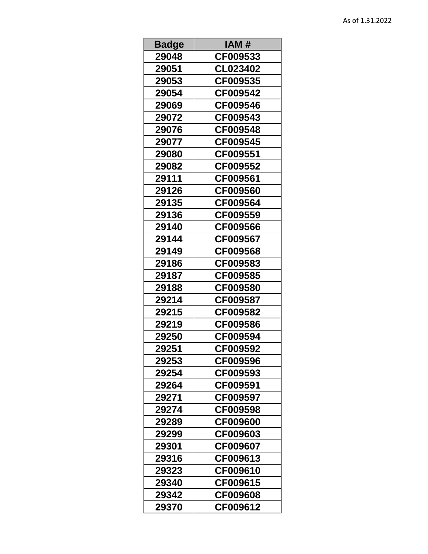| <b>Badge</b> | IAM #           |
|--------------|-----------------|
| 29048        | CF009533        |
| 29051        | CL023402        |
| 29053        | CF009535        |
| 29054        | CF009542        |
| 29069        | CF009546        |
| 29072        | CF009543        |
| 29076        | CF009548        |
| 29077        | CF009545        |
| 29080        | CF009551        |
| 29082        | CF009552        |
| 29111        | CF009561        |
| 29126        | CF009560        |
| 29135        | CF009564        |
| 29136        | CF009559        |
| 29140        | CF009566        |
| 29144        | CF009567        |
| 29149        | CF009568        |
| 29186        | CF009583        |
| 29187        | CF009585        |
| 29188        | CF009580        |
| 29214        | CF009587        |
| 29215        | CF009582        |
| 29219        | CF009586        |
| 29250        | CF009594        |
| 29251        | CF009592        |
| 29253        | CF009596        |
| 29254        | CF009593        |
| 29264        | CF009591        |
| 29271        | CF009597        |
| 29274        | CF009598        |
| 29289        | <b>CF009600</b> |
| 29299        | CF009603        |
| 29301        | CF009607        |
| 29316        | CF009613        |
| 29323        | CF009610        |
| 29340        | CF009615        |
| 29342        | CF009608        |
| 29370        | CF009612        |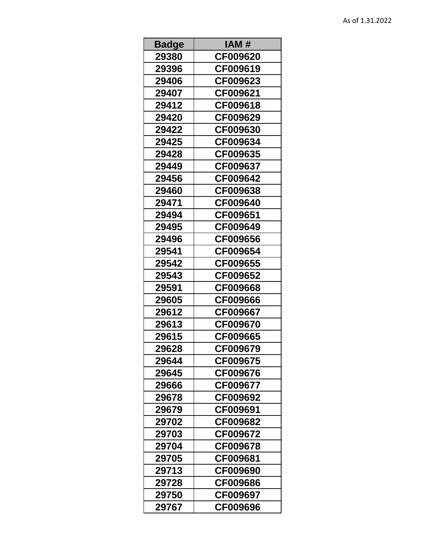| <b>Badge</b> | IAM #           |
|--------------|-----------------|
| 29380        | CF009620        |
| 29396        | CF009619        |
| 29406        | CF009623        |
| 29407        | CF009621        |
| 29412        | CF009618        |
| 29420        | CF009629        |
| 29422        | CF009630        |
| 29425        | CF009634        |
| 29428        | CF009635        |
| 29449        | CF009637        |
| 29456        | CF009642        |
| 29460        | CF009638        |
| 29471        | CF009640        |
| 29494        | CF009651        |
| 29495        | CF009649        |
| 29496        | CF009656        |
| 29541        | CF009654        |
| 29542        | CF009655        |
| 29543        | CF009652        |
| 29591        | CF009668        |
| 29605        | CF009666        |
| 29612        | CF009667        |
| 29613        | CF009670        |
| 29615        | CF009665        |
| 29628        | CF009679        |
| 29644        | CF009675        |
| 29645        | <b>CF009676</b> |
| 29666        | CF009677        |
| 29678        | CF009692        |
| 29679        | CF009691        |
| 29702        | CF009682        |
| 29703        | CF009672        |
| 29704        | CF009678        |
| 29705        | CF009681        |
| 29713        | CF009690        |
| 29728        | CF009686        |
| 29750        | CF009697        |
| 29767        | CF009696        |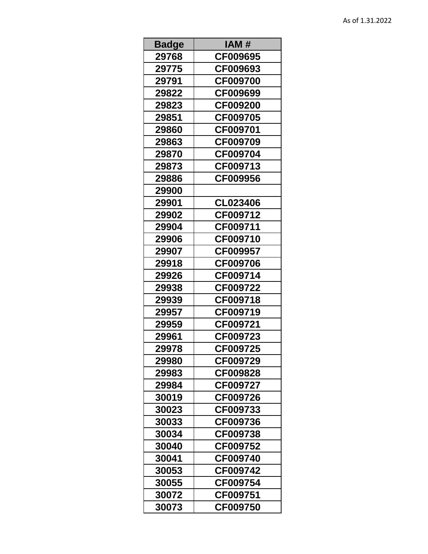| <b>Badge</b> | IAM #           |
|--------------|-----------------|
| 29768        | CF009695        |
| 29775        | CF009693        |
| 29791        | CF009700        |
| 29822        | CF009699        |
| 29823        | CF009200        |
| 29851        | CF009705        |
| 29860        | CF009701        |
| 29863        | CF009709        |
| 29870        | CF009704        |
| 29873        | CF009713        |
| 29886        | CF009956        |
| 29900        |                 |
| 29901        | CL023406        |
| 29902        | CF009712        |
| 29904        | CF009711        |
| 29906        | CF009710        |
| 29907        | CF009957        |
| 29918        | <b>CF009706</b> |
| 29926        | CF009714        |
| 29938        | CF009722        |
| 29939        | CF009718        |
| 29957        | CF009719        |
| 29959        | CF009721        |
| 29961        | CF009723        |
| 29978        | CF009725        |
| 29980        | CF009729        |
| 29983        | CF009828        |
| 29984        | CF009727        |
| 30019        | CF009726        |
| 30023        | CF009733        |
| 30033        | CF009736        |
| 30034        | CF009738        |
| 30040        | CF009752        |
| 30041        | CF009740        |
| 30053        | CF009742        |
| 30055        | CF009754        |
| 30072        | CF009751        |
| 30073        | CF009750        |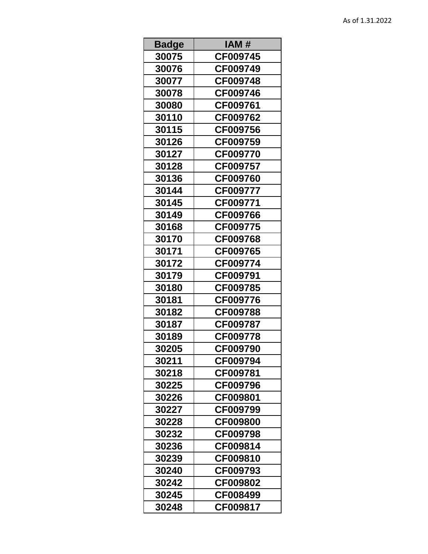| Badge | IAM#            |
|-------|-----------------|
| 30075 | CF009745        |
| 30076 | CF009749        |
| 30077 | CF009748        |
| 30078 | CF009746        |
| 30080 | CF009761        |
| 30110 | CF009762        |
| 30115 | CF009756        |
| 30126 | CF009759        |
| 30127 | CF009770        |
| 30128 | CF009757        |
| 30136 | CF009760        |
| 30144 | CF009777        |
| 30145 | CF009771        |
| 30149 | CF009766        |
| 30168 | CF009775        |
| 30170 | CF009768        |
| 30171 | CF009765        |
| 30172 | CF009774        |
| 30179 | CF009791        |
| 30180 | CF009785        |
| 30181 | CF009776        |
| 30182 | CF009788        |
| 30187 | CF009787        |
| 30189 | CF009778        |
| 30205 | CF009790        |
| 30211 | CF009794        |
| 30218 | <b>CF009781</b> |
| 30225 | CF009796        |
| 30226 | CF009801        |
| 30227 | CF009799        |
| 30228 | <b>CF009800</b> |
| 30232 | CF009798        |
| 30236 | CF009814        |
| 30239 | CF009810        |
| 30240 | CF009793        |
| 30242 | CF009802        |
| 30245 | CF008499        |
| 30248 | CF009817        |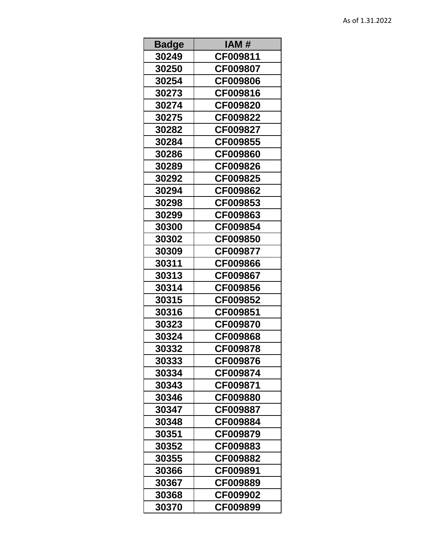| <b>Badge</b> | IAM#            |
|--------------|-----------------|
| 30249        | CF009811        |
| 30250        | CF009807        |
| 30254        | CF009806        |
| 30273        | CF009816        |
| 30274        | CF009820        |
| 30275        | CF009822        |
| 30282        | CF009827        |
| 30284        | CF009855        |
| 30286        | CF009860        |
| 30289        | CF009826        |
| 30292        | CF009825        |
| 30294        | CF009862        |
| 30298        | CF009853        |
| 30299        | CF009863        |
| 30300        | CF009854        |
| 30302        | CF009850        |
| 30309        | CF009877        |
| 30311        | <b>CF009866</b> |
| 30313        | CF009867        |
| 30314        | CF009856        |
| 30315        | CF009852        |
| 30316        | CF009851        |
| 30323        | CF009870        |
| 30324        | CF009868        |
| 30332        | CF009878        |
| 30333        | CF009876        |
| 30334        | CF009874        |
| 30343        | CF009871        |
| 30346        | CF009880        |
| 30347        | CF009887        |
| 30348        | CF009884        |
| 30351        | CF009879        |
| 30352        | CF009883        |
| 30355        | CF009882        |
| 30366        | CF009891        |
| 30367        | CF009889        |
| 30368        | CF009902        |
| 30370        | CF009899        |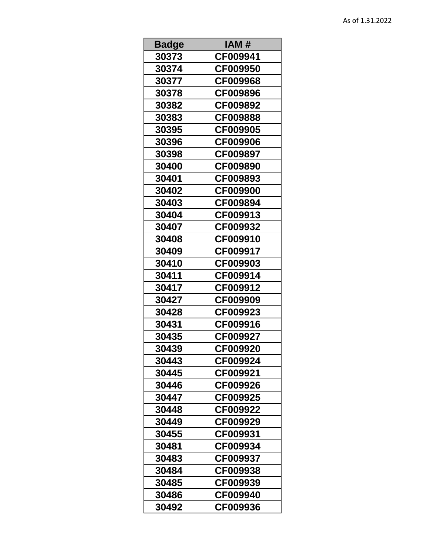| <b>Badge</b> | IAM#     |
|--------------|----------|
| 30373        | CF009941 |
| 30374        | CF009950 |
| 30377        | CF009968 |
| 30378        | CF009896 |
| 30382        | CF009892 |
| 30383        | CF009888 |
| 30395        | CF009905 |
| 30396        | CF009906 |
| 30398        | CF009897 |
| 30400        | CF009890 |
| 30401        | CF009893 |
| 30402        | CF009900 |
| 30403        | CF009894 |
| 30404        | CF009913 |
| 30407        | CF009932 |
| 30408        | CF009910 |
| 30409        | CF009917 |
| 30410        | CF009903 |
| 30411        | CF009914 |
| 30417        | CF009912 |
| 30427        | CF009909 |
| 30428        | CF009923 |
| 30431        | CF009916 |
| 30435        | CF009927 |
| 30439        | CF009920 |
| 30443        | CF009924 |
| 30445        | CF009921 |
| 30446        | CF009926 |
| 30447        | CF009925 |
| 30448        | CF009922 |
| 30449        | CF009929 |
| 30455        | CF009931 |
| 30481        | CF009934 |
| 30483        | CF009937 |
| 30484        | CF009938 |
| 30485        | CF009939 |
| 30486        | CF009940 |
| 30492        | CF009936 |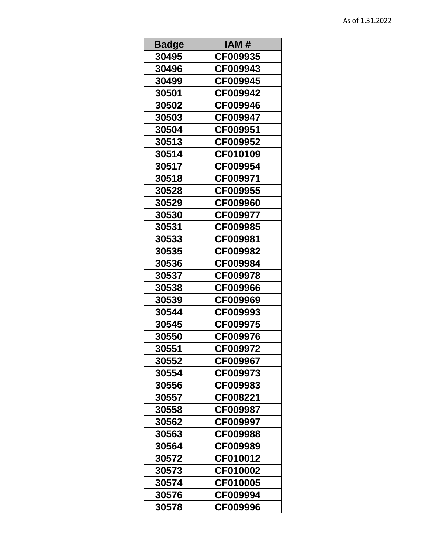| <b>Badge</b> | IAM#     |
|--------------|----------|
| 30495        | CF009935 |
| 30496        | CF009943 |
| 30499        | CF009945 |
| 30501        | CF009942 |
| 30502        | CF009946 |
| 30503        | CF009947 |
| 30504        | CF009951 |
| 30513        | CF009952 |
| 30514        | CF010109 |
| 30517        | CF009954 |
| 30518        | CF009971 |
| 30528        | CF009955 |
| 30529        | CF009960 |
| 30530        | CF009977 |
| 30531        | CF009985 |
| 30533        | CF009981 |
| 30535        | CF009982 |
| 30536        | CF009984 |
| 30537        | CF009978 |
| 30538        | CF009966 |
| 30539        | CF009969 |
| 30544        | CF009993 |
| 30545        | CF009975 |
| 30550        | CF009976 |
| 30551        | CF009972 |
| 30552        | CF009967 |
| 30554        | CF009973 |
| 30556        | CF009983 |
| 30557        | CF008221 |
| 30558        | CF009987 |
| 30562        | CF009997 |
| 30563        | CF009988 |
| 30564        | CF009989 |
| 30572        | CF010012 |
| 30573        | CF010002 |
| 30574        | CF010005 |
| 30576        | CF009994 |
| 30578        | CF009996 |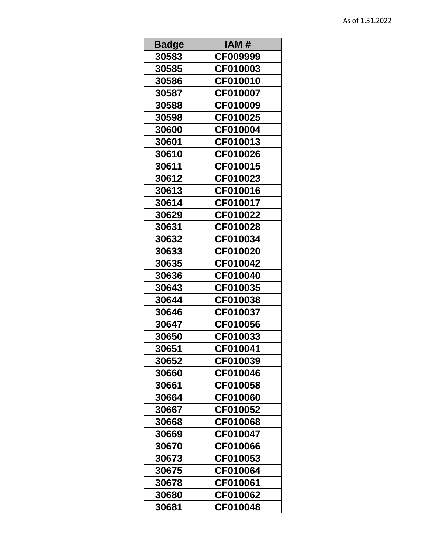| <b>Badge</b> | IAM #    |
|--------------|----------|
| 30583        | CF009999 |
| 30585        | CF010003 |
| 30586        | CF010010 |
| 30587        | CF010007 |
| 30588        | CF010009 |
| 30598        | CF010025 |
| 30600        | CF010004 |
| 30601        | CF010013 |
| 30610        | CF010026 |
| 30611        | CF010015 |
| 30612        | CF010023 |
| 30613        | CF010016 |
| 30614        | CF010017 |
| 30629        | CF010022 |
| 30631        | CF010028 |
| 30632        | CF010034 |
| 30633        | CF010020 |
| 30635        | CF010042 |
| 30636        | CF010040 |
| 30643        | CF010035 |
| 30644        | CF010038 |
| 30646        | CF010037 |
| 30647        | CF010056 |
| 30650        | CF010033 |
| 30651        | CF010041 |
| 30652        | CF010039 |
| 30660        | CF010046 |
| 30661        | CF010058 |
| 30664        | CF010060 |
| 30667        | CF010052 |
| 30668        | CF010068 |
| 30669        | CF010047 |
| 30670        | CF010066 |
| 30673        | CF010053 |
| 30675        | CF010064 |
| 30678        | CF010061 |
| 30680        | CF010062 |
| 30681        | CF010048 |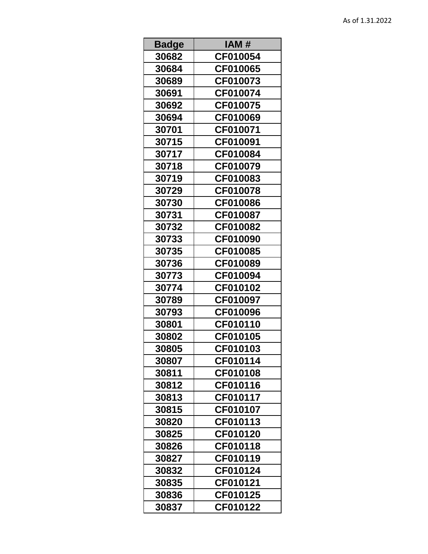| <b>Badge</b> | IAM #    |
|--------------|----------|
| 30682        | CF010054 |
| 30684        | CF010065 |
| 30689        | CF010073 |
| 30691        | CF010074 |
| 30692        | CF010075 |
| 30694        | CF010069 |
| 30701        | CF010071 |
| 30715        | CF010091 |
| 30717        | CF010084 |
| 30718        | CF010079 |
| 30719        | CF010083 |
| 30729        | CF010078 |
| 30730        | CF010086 |
| 30731        | CF010087 |
| 30732        | CF010082 |
| 30733        | CF010090 |
| 30735        | CF010085 |
| 30736        | CF010089 |
| 30773        | CF010094 |
| 30774        | CF010102 |
| 30789        | CF010097 |
| 30793        | CF010096 |
| 30801        | CF010110 |
| 30802        | CF010105 |
| 30805        | CF010103 |
| 30807        | CF010114 |
| 30811        | CF010108 |
| 30812        | CF010116 |
| 30813        | CF010117 |
| 30815        | CF010107 |
| 30820        | CF010113 |
| 30825        | CF010120 |
| 30826        | CF010118 |
| 30827        | CF010119 |
| 30832        | CF010124 |
| 30835        | CF010121 |
| 30836        | CF010125 |
| 30837        | CF010122 |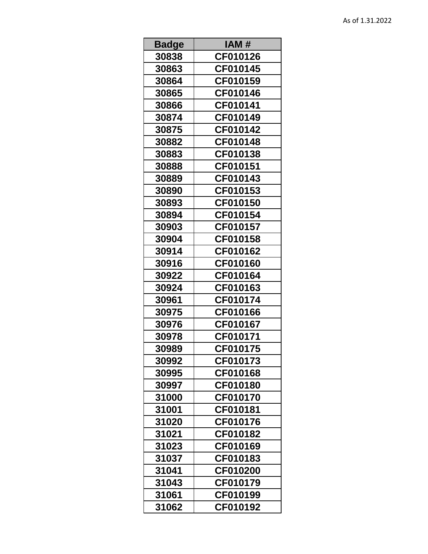| <b>Badge</b> | IAM#     |
|--------------|----------|
| 30838        | CF010126 |
| 30863        | CF010145 |
| 30864        | CF010159 |
| 30865        | CF010146 |
| 30866        | CF010141 |
| 30874        | CF010149 |
| 30875        | CF010142 |
| 30882        | CF010148 |
| 30883        | CF010138 |
| 30888        | CF010151 |
| 30889        | CF010143 |
| 30890        | CF010153 |
| 30893        | CF010150 |
| 30894        | CF010154 |
| 30903        | CF010157 |
| 30904        | CF010158 |
| 30914        | CF010162 |
| 30916        | CF010160 |
| 30922        | CF010164 |
| 30924        | CF010163 |
| 30961        | CF010174 |
| 30975        | CF010166 |
| 30976        | CF010167 |
| 30978        | CF010171 |
| 30989        | CF010175 |
| 30992        | CF010173 |
| 30995        | CF010168 |
| 30997        | CF010180 |
| 31000        | CF010170 |
| 31001        | CF010181 |
| 31020        | CF010176 |
| 31021        | CF010182 |
| 31023        | CF010169 |
| 31037        | CF010183 |
| 31041        | CF010200 |
| 31043        | CF010179 |
| 31061        | CF010199 |
| 31062        | CF010192 |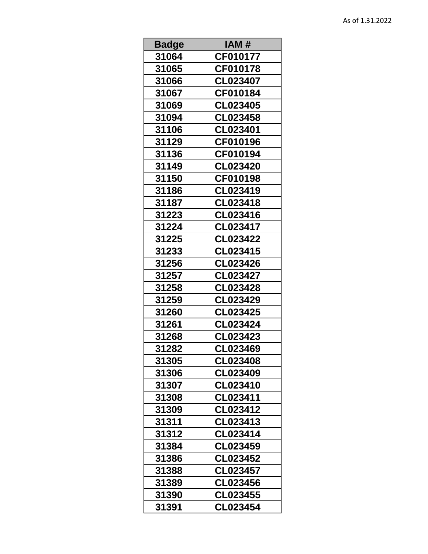| <b>Badge</b> | IAM #           |
|--------------|-----------------|
| 31064        | CF010177        |
| 31065        | CF010178        |
| 31066        | CL023407        |
| 31067        | CF010184        |
| 31069        | CL023405        |
| 31094        | CL023458        |
| 31106        | CL023401        |
| 31129        | CF010196        |
| 31136        | <b>CF010194</b> |
| 31149        | CL023420        |
| 31150        | CF010198        |
| 31186        | CL023419        |
| 31187        | CL023418        |
| 31223        | CL023416        |
| 31224        | CL023417        |
| 31225        | <b>CL023422</b> |
| 31233        | CL023415        |
| 31256        | <b>CL023426</b> |
| 31257        | CL023427        |
| 31258        | CL023428        |
| 31259        | CL023429        |
| 31260        | CL023425        |
| 31261        | CL023424        |
| 31268        | CL023423        |
| 31282        | CL023469        |
| 31305        | CL023408        |
| 31306        | CL023409        |
| 31307        | CL023410        |
| 31308        | CL023411        |
| 31309        | CL023412        |
| 31311        | CL023413        |
| 31312        | CL023414        |
| 31384        | CL023459        |
| 31386        | CL023452        |
| 31388        | CL023457        |
| 31389        | CL023456        |
| 31390        | CL023455        |
| 31391        | CL023454        |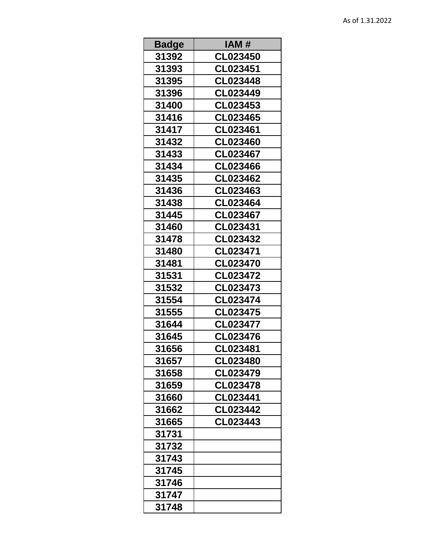| <b>Badge</b> | IAM #           |
|--------------|-----------------|
| 31392        | CL023450        |
| 31393        | CL023451        |
| 31395        | CL023448        |
| 31396        | CL023449        |
| 31400        | CL023453        |
| 31416        | CL023465        |
| 31417        | CL023461        |
| 31432        | CL023460        |
| 31433        | <b>CL023467</b> |
| 31434        | CL023466        |
| 31435        | CL023462        |
| 31436        | CL023463        |
| 31438        | CL023464        |
| 31445        | CL023467        |
| 31460        | CL023431        |
| 31478        | CL023432        |
| 31480        | CL023471        |
| 31481        | CL023470        |
| 31531        | CL023472        |
| 31532        | CL023473        |
| 31554        | CL023474        |
| 31555        | CL023475        |
| 31644        | CL023477        |
| 31645        | CL023476        |
| 31656        | CL023481        |
| 31657        | CL023480        |
| 31658        | CL023479        |
| 31659        | CL023478        |
| 31660        | CL023441        |
| 31662        | CL023442        |
| 31665        | CL023443        |
| 31731        |                 |
| 31732        |                 |
| 31743        |                 |
| 31745        |                 |
| 31746        |                 |
| 31747        |                 |
| 31748        |                 |